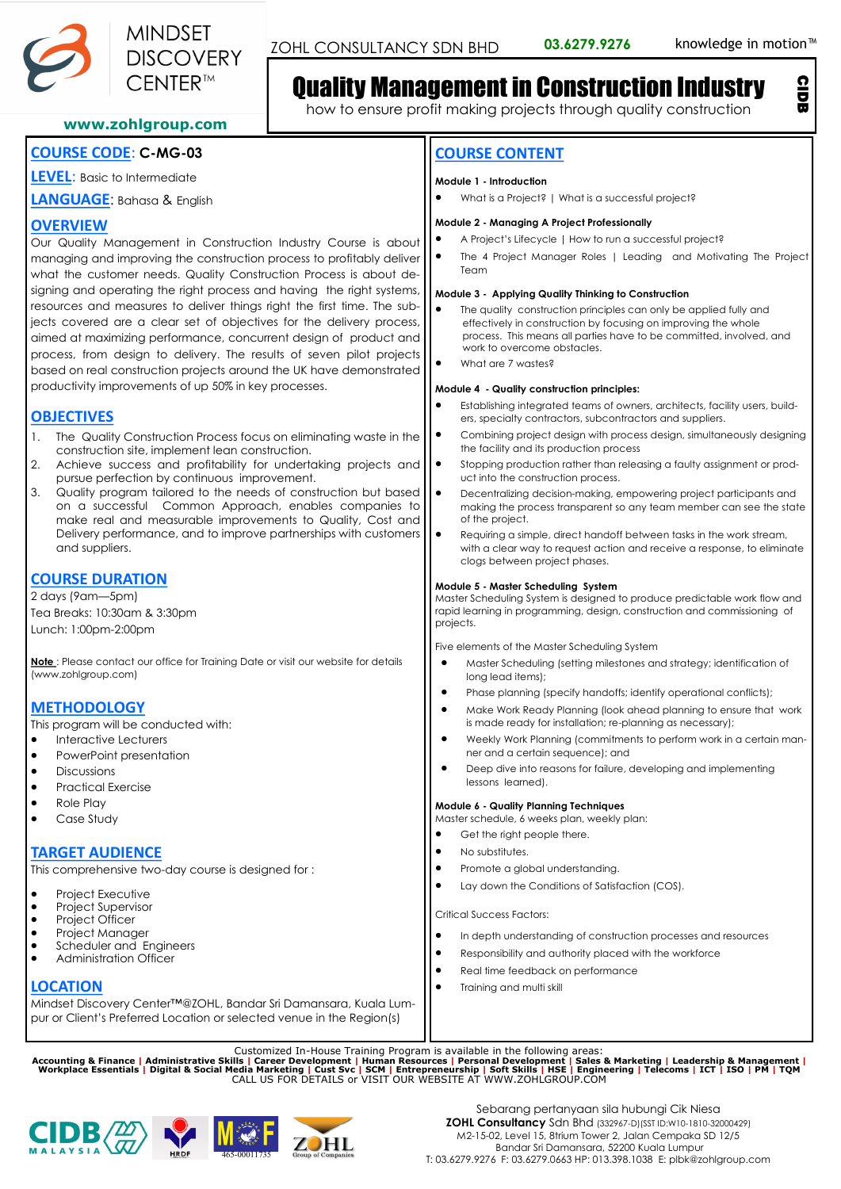

CIDB

## Quality Management in Construction Industry

how to ensure profit making projects through quality construction

## **www.zohlgroup.com**

## **COURSE CODE**: **C-MG-03**

**LEVEL**: Basic to Intermediate

**LANGUAGE**: Bahasa & English

## **OVERVIEW**

Our Quality Management in Construction Industry Course is about managing and improving the construction process to profitably deliver what the customer needs. Quality Construction Process is about designing and operating the right process and having the right systems, resources and measures to deliver things right the first time. The subjects covered are a clear set of objectives for the delivery process, aimed at maximizing performance, concurrent design of product and process, from design to delivery. The results of seven pilot projects based on real construction projects around the UK have demonstrated productivity improvements of up 50% in key processes.

## **OBJECTIVES**

- 1. The Quality Construction Process focus on eliminating waste in the construction site, implement lean construction.
- 2. Achieve success and profitability for undertaking projects and pursue perfection by continuous improvement.
- 3. Quality program tailored to the needs of construction but based on a successful Common Approach, enables companies to make real and measurable improvements to Quality, Cost and Delivery performance, and to improve partnerships with customers and suppliers.

## **COURSE DURATION**

2 days (9am—5pm) Tea Breaks: 10:30am & 3:30pm Lunch: 1:00pm-2:00pm

**Note** : Please contact our office for Training Date or visit our website for details (www.zohlgroup.com)

## **METHODOLOGY**

This program will be conducted with:

- Interactive Lecturers
- PowerPoint presentation
- **Discussions**
- Practical Exercise
- Role Play
- Case Study

## **TARGET AUDIENCE**

This comprehensive two-day course is designed for :

- Project Executive
- Project Supervisor
- Project Officer
- Project Manager
- Scheduler and Engineers • Administration Officer

## **LOCATION**

Mindset Discovery Center™@ZOHL, Bandar Sri Damansara, Kuala Lumpur or Client's Preferred Location or selected venue in the Region(s)

Customized In-House Training Program is available in the following areas:<br>Accounting & Finance | Administrative Skills | Career Development | Human Resources | Personal Development | Sales & Marketing | Leadership & Manage







## **COURSE CONTENT**

#### **Module 1 - Introduction**

• What is a Project? | What is a successful project?

#### **Module 2 - Managing A Project Professionally**

- A Project's Lifecycle | How to run a successful project?
- The 4 Project Manager Roles | Leading and Motivating The Project Team

#### **Module 3 - Applying Quality Thinking to Construction**

- The quality construction principles can only be applied fully and effectively in construction by focusing on improving the whole process. This means all parties have to be committed, involved, and work to overcome obstacles.
- What are 7 wastes?

#### **Module 4 - Quality construction principles:**

- Establishing integrated teams of owners, architects, facility users, builders, specialty contractors, subcontractors and suppliers.
- Combining project design with process design, simultaneously designing the facility and its production process
- Stopping production rather than releasing a faulty assignment or product into the construction process.
- Decentralizing decision-making, empowering project participants and making the process transparent so any team member can see the state of the project.
- Requiring a simple, direct handoff between tasks in the work stream, with a clear way to request action and receive a response, to eliminate clogs between project phases.

#### **Module 5 - Master Scheduling System**

Master Scheduling System is designed to produce predictable work flow and rapid learning in programming, design, construction and commissioning of projects.

Five elements of the Master Scheduling System

- Master Scheduling (setting milestones and strategy; identification of long lead items);
- Phase planning (specify handoffs; identify operational conflicts);
- Make Work Ready Planning (look ahead planning to ensure that work is made ready for installation; re-planning as necessary);
- Weekly Work Planning (commitments to perform work in a certain manner and a certain sequence); and
- Deep dive into reasons for failure, developing and implementing lessons learned).

#### **Module 6 - Quality Planning Techniques**

Master schedule, 6 weeks plan, weekly plan:

- Get the right people there.
- No substitutes.
- Promote a global understanding.
- Lay down the Conditions of Satisfaction (COS).

Critical Success Factors:

- In depth understanding of construction processes and resources
- Responsibility and authority placed with the workforce
- Real time feedback on performance
- Training and multi skill